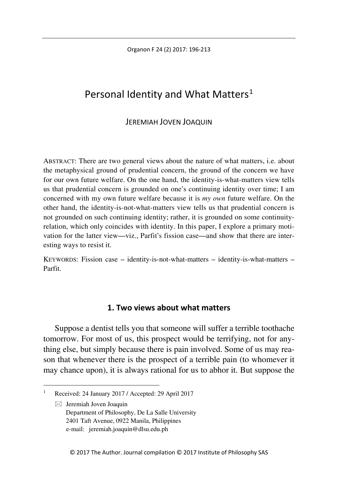Organon F 24 (2) 2017: 196-213

# Personal Identity and What Matters<sup>[1](#page-0-0)</sup>

## JEREMIAH JOVEN JOAQUIN

ABSTRACT: There are two general views about the nature of what matters, i.e. about the metaphysical ground of prudential concern, the ground of the concern we have for our own future welfare. On the one hand, the identity-is-what-matters view tells us that prudential concern is grounded on one's continuing identity over time; I am concerned with my own future welfare because it is *my own* future welfare. On the other hand, the identity-is-not-what-matters view tells us that prudential concern is not grounded on such continuing identity; rather, it is grounded on some continuityrelation, which only coincides with identity. In this paper, I explore a primary motivation for the latter view—viz., Parfit's fission case—and show that there are interesting ways to resist it.

KEYWORDS: Fission case – identity-is-not-what-matters – identity-is-what-matters – Parfit.

## **1. Two views about what matters**

Suppose a dentist tells you that someone will suffer a terrible toothache tomorrow. For most of us, this prospect would be terrifying, not for anything else, but simply because there is pain involved. Some of us may reason that whenever there is the prospect of a terrible pain (to whomever it may chance upon), it is always rational for us to abhor it. But suppose the

 $\boxtimes$  Jeremiah Joven Joaquin Department of Philosophy, De La Salle University 2401 Taft Avenue, 0922 Manila, Philippines e-mail: jeremiah.joaquin@dlsu.edu.ph

<span id="page-0-0"></span> $\overline{1}$ <sup>1</sup> Received: 24 January 2017 / Accepted: 29 April 2017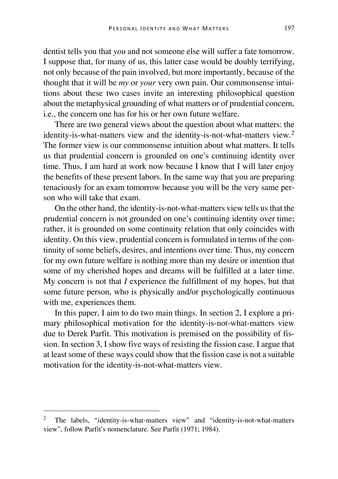dentist tells you that *you* and not someone else will suffer a fate tomorrow. I suppose that, for many of us, this latter case would be doubly terrifying, not only because of the pain involved, but more importantly, because of the thought that it will be *my* or *your* very own pain. Our commonsense intuitions about these two cases invite an interesting philosophical question about the metaphysical grounding of what matters or of prudential concern, i.e., the concern one has for his or her own future welfare.

There are two general views about the question about what matters: the identity-is-what-matters view and the identity-is-not-what-matters view.[2](#page-1-0) The former view is our commonsense intuition about what matters. It tells us that prudential concern is grounded on one's continuing identity over time. Thus, I am hard at work now because I know that I will later enjoy the benefits of these present labors. In the same way that you are preparing tenaciously for an exam tomorrow because you will be the very same person who will take that exam.

On the other hand, the identity-is-not-what-matters view tells us that the prudential concern is not grounded on one's continuing identity over time; rather, it is grounded on some continuity relation that only coincides with identity. On this view, prudential concern is formulated in terms of the continuity of some beliefs, desires, and intentions over time. Thus, my concern for my own future welfare is nothing more than my desire or intention that some of my cherished hopes and dreams will be fulfilled at a later time. My concern is not that *I* experience the fulfillment of my hopes, but that some future person, who is physically and/or psychologically continuous with me, experiences them.

In this paper, I aim to do two main things. In section 2, I explore a primary philosophical motivation for the identity-is-not-what-matters view due to Derek Parfit. This motivation is premised on the possibility of fission. In section 3, I show five ways of resisting the fission case. I argue that at least some of these ways could show that the fission case is not a suitable motivation for the identity-is-not-what-matters view.

<span id="page-1-0"></span><sup>&</sup>lt;sup>2</sup> The labels, "identity-is-what-matters view" and "identity-is-not-what-matters view", follow Parfit's nomenclature. See Parfit (1971; 1984).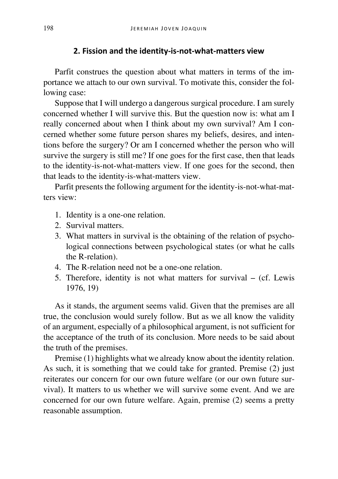#### **2. Fission and the identity-is-not-what-matters view**

Parfit construes the question about what matters in terms of the importance we attach to our own survival. To motivate this, consider the following case:

Suppose that I will undergo a dangerous surgical procedure. I am surely concerned whether I will survive this. But the question now is: what am I really concerned about when I think about my own survival? Am I concerned whether some future person shares my beliefs, desires, and intentions before the surgery? Or am I concerned whether the person who will survive the surgery is still me? If one goes for the first case, then that leads to the identity-is-not-what-matters view. If one goes for the second, then that leads to the identity-is-what-matters view.

Parfit presents the following argument for the identity-is-not-what-matters view:

- 1. Identity is a one-one relation.
- 2. Survival matters.
- 3. What matters in survival is the obtaining of the relation of psychological connections between psychological states (or what he calls the R-relation).
- 4. The R-relation need not be a one-one relation.
- 5. Therefore, identity is not what matters for survival (cf. Lewis 1976, 19)

As it stands, the argument seems valid. Given that the premises are all true, the conclusion would surely follow. But as we all know the validity of an argument, especially of a philosophical argument, is not sufficient for the acceptance of the truth of its conclusion. More needs to be said about the truth of the premises.

Premise (1) highlights what we already know about the identity relation. As such, it is something that we could take for granted. Premise (2) just reiterates our concern for our own future welfare (or our own future survival). It matters to us whether we will survive some event. And we are concerned for our own future welfare. Again, premise (2) seems a pretty reasonable assumption.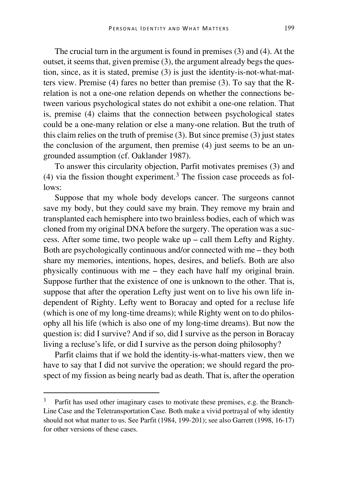The crucial turn in the argument is found in premises (3) and (4). At the outset, it seems that, given premise (3), the argument already begs the question, since, as it is stated, premise (3) is just the identity-is-not-what-matters view. Premise (4) fares no better than premise (3). To say that the Rrelation is not a one-one relation depends on whether the connections between various psychological states do not exhibit a one-one relation. That is, premise (4) claims that the connection between psychological states could be a one-many relation or else a many-one relation. But the truth of this claim relies on the truth of premise (3). But since premise (3) just states the conclusion of the argument, then premise (4) just seems to be an ungrounded assumption (cf. Oaklander 1987).

To answer this circularity objection, Parfit motivates premises (3) and (4) via the fission thought experiment.<sup>[3](#page-3-0)</sup> The fission case proceeds as follows:

Suppose that my whole body develops cancer. The surgeons cannot save my body, but they could save my brain. They remove my brain and transplanted each hemisphere into two brainless bodies, each of which was cloned from my original DNA before the surgery. The operation was a success. After some time, two people wake up – call them Lefty and Righty. Both are psychologically continuous and/or connected with me – they both share my memories, intentions, hopes, desires, and beliefs. Both are also physically continuous with me – they each have half my original brain. Suppose further that the existence of one is unknown to the other. That is, suppose that after the operation Lefty just went on to live his own life independent of Righty. Lefty went to Boracay and opted for a recluse life (which is one of my long-time dreams); while Righty went on to do philosophy all his life (which is also one of my long-time dreams). But now the question is: did I survive? And if so, did I survive as the person in Boracay living a recluse's life, or did I survive as the person doing philosophy?

Parfit claims that if we hold the identity-is-what-matters view, then we have to say that I did not survive the operation; we should regard the prospect of my fission as being nearly bad as death. That is, after the operation

<span id="page-3-0"></span><sup>&</sup>lt;sup>3</sup> Parfit has used other imaginary cases to motivate these premises, e.g. the Branch-Line Case and the Teletransportation Case. Both make a vivid portrayal of why identity should not what matter to us. See Parfit (1984, 199-201); see also Garrett (1998, 16-17) for other versions of these cases.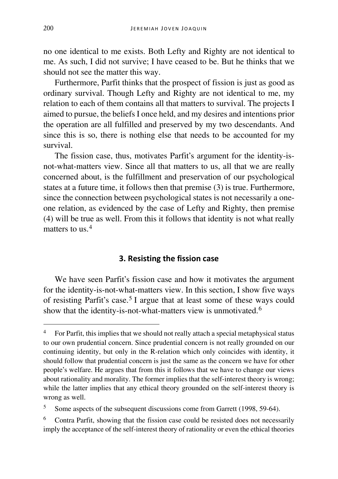no one identical to me exists. Both Lefty and Righty are not identical to me. As such, I did not survive; I have ceased to be. But he thinks that we should not see the matter this way.

Furthermore, Parfit thinks that the prospect of fission is just as good as ordinary survival. Though Lefty and Righty are not identical to me, my relation to each of them contains all that matters to survival. The projects I aimed to pursue, the beliefs I once held, and my desires and intentions prior the operation are all fulfilled and preserved by my two descendants. And since this is so, there is nothing else that needs to be accounted for my survival.

The fission case, thus, motivates Parfit's argument for the identity-isnot-what-matters view. Since all that matters to us, all that we are really concerned about, is the fulfillment and preservation of our psychological states at a future time, it follows then that premise (3) is true. Furthermore, since the connection between psychological states is not necessarily a oneone relation, as evidenced by the case of Lefty and Righty, then premise (4) will be true as well. From this it follows that identity is not what really matters to us  $4$ 

#### **3. Resisting the fission case**

We have seen Parfit's fission case and how it motivates the argument for the identity-is-not-what-matters view. In this section, I show five ways of resisting Parfit's case.<sup>[5](#page-4-1)</sup> I argue that at least some of these ways could show that the identity-is-not-what-matters view is unmotivated.<sup>[6](#page-4-2)</sup>

<span id="page-4-0"></span><sup>&</sup>lt;sup>4</sup> For Parfit, this implies that we should not really attach a special metaphysical status to our own prudential concern. Since prudential concern is not really grounded on our continuing identity, but only in the R-relation which only coincides with identity, it should follow that prudential concern is just the same as the concern we have for other people's welfare. He argues that from this it follows that we have to change our views about rationality and morality. The former implies that the self-interest theory is wrong; while the latter implies that any ethical theory grounded on the self-interest theory is wrong as well.

<span id="page-4-1"></span><sup>&</sup>lt;sup>5</sup> Some aspects of the subsequent discussions come from Garrett (1998, 59-64).

<span id="page-4-2"></span><sup>6</sup> Contra Parfit, showing that the fission case could be resisted does not necessarily imply the acceptance of the self-interest theory of rationality or even the ethical theories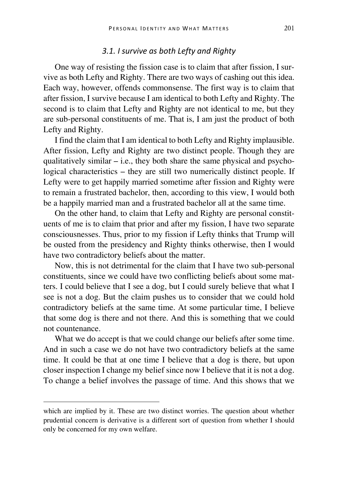### *3.1. I survive as both Lefty and Righty*

One way of resisting the fission case is to claim that after fission, I survive as both Lefty and Righty. There are two ways of cashing out this idea. Each way, however, offends commonsense. The first way is to claim that after fission, I survive because I am identical to both Lefty and Righty. The second is to claim that Lefty and Righty are not identical to me, but they are sub-personal constituents of me. That is, I am just the product of both Lefty and Righty.

I find the claim that I am identical to both Lefty and Righty implausible. After fission, Lefty and Righty are two distinct people. Though they are qualitatively similar  $-$  i.e., they both share the same physical and psychological characteristics – they are still two numerically distinct people. If Lefty were to get happily married sometime after fission and Righty were to remain a frustrated bachelor, then, according to this view, I would both be a happily married man and a frustrated bachelor all at the same time.

On the other hand, to claim that Lefty and Righty are personal constituents of me is to claim that prior and after my fission, I have two separate consciousnesses. Thus, prior to my fission if Lefty thinks that Trump will be ousted from the presidency and Righty thinks otherwise, then I would have two contradictory beliefs about the matter.

Now, this is not detrimental for the claim that I have two sub-personal constituents, since we could have two conflicting beliefs about some matters. I could believe that I see a dog, but I could surely believe that what I see is not a dog. But the claim pushes us to consider that we could hold contradictory beliefs at the same time. At some particular time, I believe that some dog is there and not there. And this is something that we could not countenance.

What we do accept is that we could change our beliefs after some time. And in such a case we do not have two contradictory beliefs at the same time. It could be that at one time I believe that a dog is there, but upon closer inspection I change my belief since now I believe that it is not a dog. To change a belief involves the passage of time. And this shows that we

which are implied by it. These are two distinct worries. The question about whether prudential concern is derivative is a different sort of question from whether I should only be concerned for my own welfare.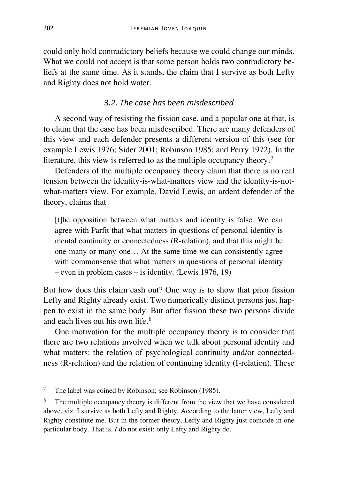could only hold contradictory beliefs because we could change our minds. What we could not accept is that some person holds two contradictory beliefs at the same time. As it stands, the claim that I survive as both Lefty and Righty does not hold water.

# *3.2. The case has been misdescribed*

A second way of resisting the fission case, and a popular one at that, is to claim that the case has been misdescribed. There are many defenders of this view and each defender presents a different version of this (see for example Lewis 1976; Sider 2001; Robinson 1985; and Perry 1972). In the literature, this view is referred to as the multiple occupancy theory.<sup>[7](#page-6-0)</sup>

Defenders of the multiple occupancy theory claim that there is no real tension between the identity-is-what-matters view and the identity-is-notwhat-matters view. For example, David Lewis, an ardent defender of the theory, claims that

[t]he opposition between what matters and identity is false. We can agree with Parfit that what matters in questions of personal identity is mental continuity or connectedness (R-relation), and that this might be one-many or many-one… At the same time we can consistently agree with commonsense that what matters in questions of personal identity – even in problem cases – is identity. (Lewis 1976, 19)

But how does this claim cash out? One way is to show that prior fission Lefty and Righty already exist. Two numerically distinct persons just happen to exist in the same body. But after fission these two persons divide and each lives out his own life.<sup>[8](#page-6-1)</sup>

One motivation for the multiple occupancy theory is to consider that there are two relations involved when we talk about personal identity and what matters: the relation of psychological continuity and/or connectedness (R-relation) and the relation of continuing identity (I-relation). These

<span id="page-6-0"></span> $\overline{7}$ The label was coined by Robinson; see Robinson (1985).

<span id="page-6-1"></span><sup>&</sup>lt;sup>8</sup> The multiple occupancy theory is different from the view that we have considered above, viz. I survive as both Lefty and Righty. According to the latter view, Lefty and Righty constitute me. But in the former theory, Lefty and Righty just coincide in one particular body. That is, *I* do not exist; only Lefty and Righty do.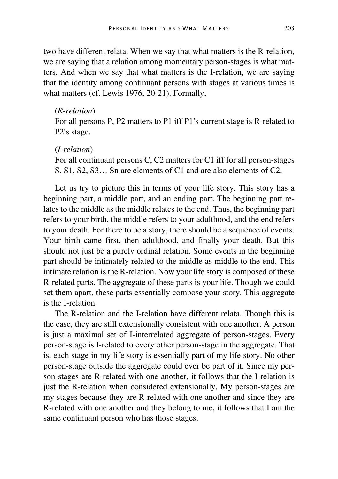two have different relata. When we say that what matters is the R-relation, we are saying that a relation among momentary person-stages is what matters. And when we say that what matters is the I-relation, we are saying that the identity among continuant persons with stages at various times is what matters (cf. Lewis 1976, 20-21). Formally,

#### (*R-relation*)

For all persons P, P2 matters to P1 iff P1's current stage is R-related to P2's stage.

## (*I-relation*)

For all continuant persons C, C2 matters for C1 iff for all person-stages S, S1, S2, S3… Sn are elements of C1 and are also elements of C2.

Let us try to picture this in terms of your life story. This story has a beginning part, a middle part, and an ending part. The beginning part relates to the middle as the middle relates to the end. Thus, the beginning part refers to your birth, the middle refers to your adulthood, and the end refers to your death. For there to be a story, there should be a sequence of events. Your birth came first, then adulthood, and finally your death. But this should not just be a purely ordinal relation. Some events in the beginning part should be intimately related to the middle as middle to the end. This intimate relation is the R-relation. Now your life story is composed of these R-related parts. The aggregate of these parts is your life. Though we could set them apart, these parts essentially compose your story. This aggregate is the I-relation.

The R-relation and the I-relation have different relata. Though this is the case, they are still extensionally consistent with one another. A person is just a maximal set of I-interrelated aggregate of person-stages. Every person-stage is I-related to every other person-stage in the aggregate. That is, each stage in my life story is essentially part of my life story. No other person-stage outside the aggregate could ever be part of it. Since my person-stages are R-related with one another, it follows that the I-relation is just the R-relation when considered extensionally. My person-stages are my stages because they are R-related with one another and since they are R-related with one another and they belong to me, it follows that I am the same continuant person who has those stages.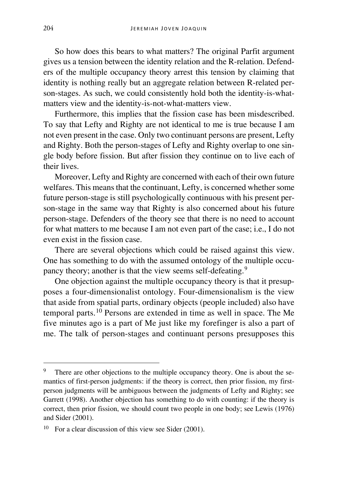So how does this bears to what matters? The original Parfit argument gives us a tension between the identity relation and the R-relation. Defenders of the multiple occupancy theory arrest this tension by claiming that identity is nothing really but an aggregate relation between R-related person-stages. As such, we could consistently hold both the identity-is-whatmatters view and the identity-is-not-what-matters view.

Furthermore, this implies that the fission case has been misdescribed. To say that Lefty and Righty are not identical to me is true because I am not even present in the case. Only two continuant persons are present, Lefty and Righty. Both the person-stages of Lefty and Righty overlap to one single body before fission. But after fission they continue on to live each of their lives.

Moreover, Lefty and Righty are concerned with each of their own future welfares. This means that the continuant, Lefty, is concerned whether some future person-stage is still psychologically continuous with his present person-stage in the same way that Righty is also concerned about his future person-stage. Defenders of the theory see that there is no need to account for what matters to me because I am not even part of the case; i.e., I do not even exist in the fission case.

There are several objections which could be raised against this view. One has something to do with the assumed ontology of the multiple occu-pancy theory; another is that the view seems self-defeating.<sup>[9](#page-8-0)</sup>

One objection against the multiple occupancy theory is that it presupposes a four-dimensionalist ontology. Four-dimensionalism is the view that aside from spatial parts, ordinary objects (people included) also have temporal parts.[10](#page-8-1) Persons are extended in time as well in space. The Me five minutes ago is a part of Me just like my forefinger is also a part of me. The talk of person-stages and continuant persons presupposes this

I

<span id="page-8-0"></span><sup>&</sup>lt;sup>9</sup> There are other objections to the multiple occupancy theory. One is about the semantics of first-person judgments: if the theory is correct, then prior fission, my firstperson judgments will be ambiguous between the judgments of Lefty and Righty; see Garrett (1998). Another objection has something to do with counting: if the theory is correct, then prior fission, we should count two people in one body; see Lewis (1976) and Sider (2001).

<span id="page-8-1"></span> $10$  For a clear discussion of this view see Sider (2001).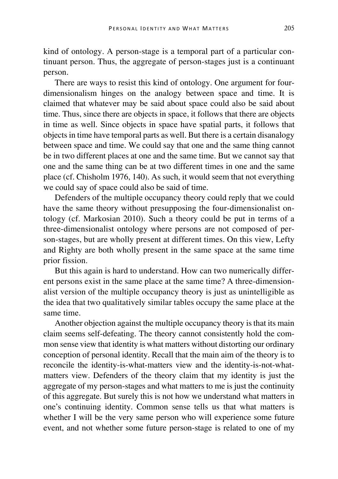kind of ontology. A person-stage is a temporal part of a particular continuant person. Thus, the aggregate of person-stages just is a continuant person.

There are ways to resist this kind of ontology. One argument for fourdimensionalism hinges on the analogy between space and time. It is claimed that whatever may be said about space could also be said about time. Thus, since there are objects in space, it follows that there are objects in time as well. Since objects in space have spatial parts, it follows that objects in time have temporal parts as well. But there is a certain disanalogy between space and time. We could say that one and the same thing cannot be in two different places at one and the same time. But we cannot say that one and the same thing can be at two different times in one and the same place (cf. Chisholm 1976, 140). As such, it would seem that not everything we could say of space could also be said of time.

Defenders of the multiple occupancy theory could reply that we could have the same theory without presupposing the four-dimensionalist ontology (cf. Markosian 2010). Such a theory could be put in terms of a three-dimensionalist ontology where persons are not composed of person-stages, but are wholly present at different times. On this view, Lefty and Righty are both wholly present in the same space at the same time prior fission.

But this again is hard to understand. How can two numerically different persons exist in the same place at the same time? A three-dimensionalist version of the multiple occupancy theory is just as unintelligible as the idea that two qualitatively similar tables occupy the same place at the same time.

Another objection against the multiple occupancy theory is that its main claim seems self-defeating. The theory cannot consistently hold the common sense view that identity is what matters without distorting our ordinary conception of personal identity. Recall that the main aim of the theory is to reconcile the identity-is-what-matters view and the identity-is-not-whatmatters view. Defenders of the theory claim that my identity is just the aggregate of my person-stages and what matters to me is just the continuity of this aggregate. But surely this is not how we understand what matters in one's continuing identity. Common sense tells us that what matters is whether I will be the very same person who will experience some future event, and not whether some future person-stage is related to one of my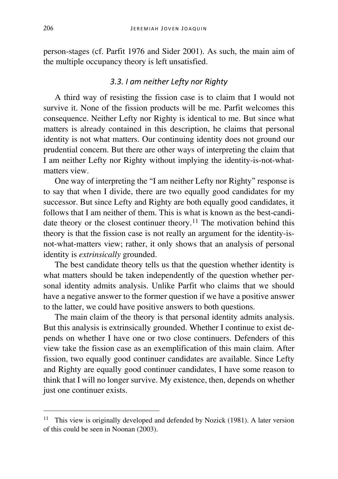person-stages (cf. Parfit 1976 and Sider 2001). As such, the main aim of the multiple occupancy theory is left unsatisfied.

## *3.3. I am neither Lefty nor Righty*

A third way of resisting the fission case is to claim that I would not survive it. None of the fission products will be me. Parfit welcomes this consequence. Neither Lefty nor Righty is identical to me. But since what matters is already contained in this description, he claims that personal identity is not what matters. Our continuing identity does not ground our prudential concern. But there are other ways of interpreting the claim that I am neither Lefty nor Righty without implying the identity-is-not-whatmatters view.

One way of interpreting the "I am neither Lefty nor Righty" response is to say that when I divide, there are two equally good candidates for my successor. But since Lefty and Righty are both equally good candidates, it follows that I am neither of them. This is what is known as the best-candi-date theory or the closest continuer theory.<sup>[11](#page-10-0)</sup> The motivation behind this theory is that the fission case is not really an argument for the identity-isnot-what-matters view; rather, it only shows that an analysis of personal identity is *extrinsically* grounded.

The best candidate theory tells us that the question whether identity is what matters should be taken independently of the question whether personal identity admits analysis. Unlike Parfit who claims that we should have a negative answer to the former question if we have a positive answer to the latter, we could have positive answers to both questions.

The main claim of the theory is that personal identity admits analysis. But this analysis is extrinsically grounded. Whether I continue to exist depends on whether I have one or two close continuers. Defenders of this view take the fission case as an exemplification of this main claim. After fission, two equally good continuer candidates are available. Since Lefty and Righty are equally good continuer candidates, I have some reason to think that I will no longer survive. My existence, then, depends on whether just one continuer exists.

<span id="page-10-0"></span><sup>&</sup>lt;sup>11</sup> This view is originally developed and defended by Nozick (1981). A later version of this could be seen in Noonan (2003).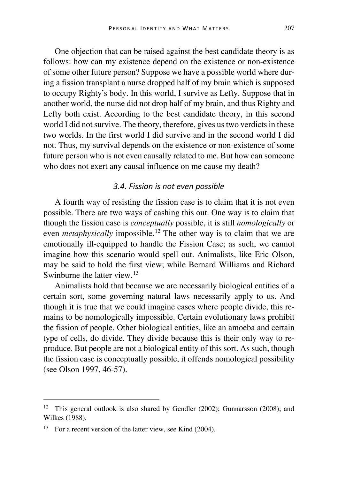One objection that can be raised against the best candidate theory is as follows: how can my existence depend on the existence or non-existence of some other future person? Suppose we have a possible world where during a fission transplant a nurse dropped half of my brain which is supposed to occupy Righty's body. In this world, I survive as Lefty. Suppose that in another world, the nurse did not drop half of my brain, and thus Righty and Lefty both exist. According to the best candidate theory, in this second world I did not survive. The theory, therefore, gives us two verdicts in these two worlds. In the first world I did survive and in the second world I did not. Thus, my survival depends on the existence or non-existence of some future person who is not even causally related to me. But how can someone who does not exert any causal influence on me cause my death?

## *3.4. Fission is not even possible*

A fourth way of resisting the fission case is to claim that it is not even possible. There are two ways of cashing this out. One way is to claim that though the fission case is *conceptually* possible, it is still *nomologically* or even *metaphysically* impossible.<sup>[12](#page-11-0)</sup> The other way is to claim that we are emotionally ill-equipped to handle the Fission Case; as such, we cannot imagine how this scenario would spell out. Animalists, like Eric Olson, may be said to hold the first view; while Bernard Williams and Richard Swinburne the latter view.<sup>[13](#page-11-1)</sup>

Animalists hold that because we are necessarily biological entities of a certain sort, some governing natural laws necessarily apply to us. And though it is true that we could imagine cases where people divide, this remains to be nomologically impossible. Certain evolutionary laws prohibit the fission of people. Other biological entities, like an amoeba and certain type of cells, do divide. They divide because this is their only way to reproduce. But people are not a biological entity of this sort. As such, though the fission case is conceptually possible, it offends nomological possibility (see Olson 1997, 46-57).

<span id="page-11-0"></span><sup>12</sup> This general outlook is also shared by Gendler (2002); Gunnarsson (2008); and Wilkes (1988).

<span id="page-11-1"></span><sup>&</sup>lt;sup>13</sup> For a recent version of the latter view, see Kind (2004).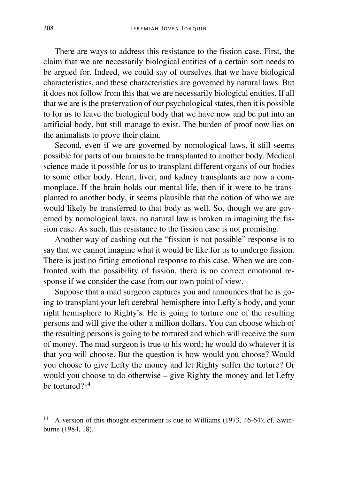There are ways to address this resistance to the fission case. First, the claim that we are necessarily biological entities of a certain sort needs to be argued for. Indeed, we could say of ourselves that we have biological characteristics, and these characteristics are governed by natural laws. But it does not follow from this that we are necessarily biological entities. If all that we are is the preservation of our psychological states, then it is possible to for us to leave the biological body that we have now and be put into an artificial body, but still manage to exist. The burden of proof now lies on the animalists to prove their claim.

Second, even if we are governed by nomological laws, it still seems possible for parts of our brains to be transplanted to another body. Medical science made it possible for us to transplant different organs of our bodies to some other body. Heart, liver, and kidney transplants are now a commonplace. If the brain holds our mental life, then if it were to be transplanted to another body, it seems plausible that the notion of who we are would likely be transferred to that body as well. So, though we are governed by nomological laws, no natural law is broken in imagining the fission case. As such, this resistance to the fission case is not promising.

Another way of cashing out the "fission is not possible" response is to say that we cannot imagine what it would be like for us to undergo fission. There is just no fitting emotional response to this case. When we are confronted with the possibility of fission, there is no correct emotional response if we consider the case from our own point of view.

Suppose that a mad surgeon captures you and announces that he is going to transplant your left cerebral hemisphere into Lefty's body, and your right hemisphere to Righty's. He is going to torture one of the resulting persons and will give the other a million dollars. You can choose which of the resulting persons is going to be tortured and which will receive the sum of money. The mad surgeon is true to his word; he would do whatever it is that you will choose. But the question is how would you choose? Would you choose to give Lefty the money and let Righty suffer the torture? Or would you choose to do otherwise – give Righty the money and let Lefty be tortured?[14](#page-12-0)

<span id="page-12-0"></span><sup>14</sup> A version of this thought experiment is due to Williams (1973, 46-64); cf. Swinburne (1984, 18).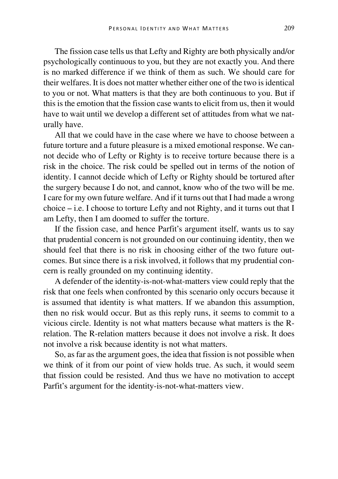The fission case tells us that Lefty and Righty are both physically and/or psychologically continuous to you, but they are not exactly you. And there is no marked difference if we think of them as such. We should care for their welfares. It is does not matter whether either one of the two is identical to you or not. What matters is that they are both continuous to you. But if this is the emotion that the fission case wants to elicit from us, then it would have to wait until we develop a different set of attitudes from what we naturally have.

All that we could have in the case where we have to choose between a future torture and a future pleasure is a mixed emotional response. We cannot decide who of Lefty or Righty is to receive torture because there is a risk in the choice. The risk could be spelled out in terms of the notion of identity. I cannot decide which of Lefty or Righty should be tortured after the surgery because I do not, and cannot, know who of the two will be me. I care for my own future welfare. And if it turns out that I had made a wrong choice – i.e. I choose to torture Lefty and not Righty, and it turns out that I am Lefty, then I am doomed to suffer the torture.

If the fission case, and hence Parfit's argument itself, wants us to say that prudential concern is not grounded on our continuing identity, then we should feel that there is no risk in choosing either of the two future outcomes. But since there is a risk involved, it follows that my prudential concern is really grounded on my continuing identity.

A defender of the identity-is-not-what-matters view could reply that the risk that one feels when confronted by this scenario only occurs because it is assumed that identity is what matters. If we abandon this assumption, then no risk would occur. But as this reply runs, it seems to commit to a vicious circle. Identity is not what matters because what matters is the Rrelation. The R-relation matters because it does not involve a risk. It does not involve a risk because identity is not what matters.

So, as far as the argument goes, the idea that fission is not possible when we think of it from our point of view holds true. As such, it would seem that fission could be resisted. And thus we have no motivation to accept Parfit's argument for the identity-is-not-what-matters view.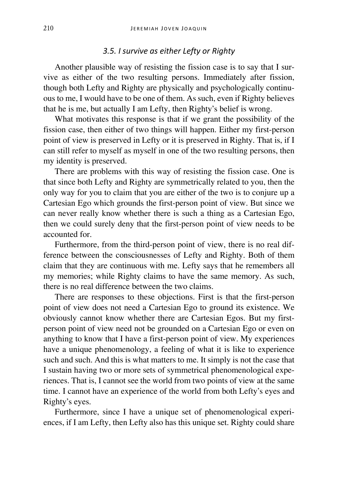## *3.5. I survive as either Lefty or Righty*

Another plausible way of resisting the fission case is to say that I survive as either of the two resulting persons. Immediately after fission, though both Lefty and Righty are physically and psychologically continuous to me, I would have to be one of them. As such, even if Righty believes that he is me, but actually I am Lefty, then Righty's belief is wrong.

What motivates this response is that if we grant the possibility of the fission case, then either of two things will happen. Either my first-person point of view is preserved in Lefty or it is preserved in Righty. That is, if I can still refer to myself as myself in one of the two resulting persons, then my identity is preserved.

There are problems with this way of resisting the fission case. One is that since both Lefty and Righty are symmetrically related to you, then the only way for you to claim that you are either of the two is to conjure up a Cartesian Ego which grounds the first-person point of view. But since we can never really know whether there is such a thing as a Cartesian Ego, then we could surely deny that the first-person point of view needs to be accounted for.

Furthermore, from the third-person point of view, there is no real difference between the consciousnesses of Lefty and Righty. Both of them claim that they are continuous with me. Lefty says that he remembers all my memories; while Righty claims to have the same memory. As such, there is no real difference between the two claims.

There are responses to these objections. First is that the first-person point of view does not need a Cartesian Ego to ground its existence. We obviously cannot know whether there are Cartesian Egos. But my firstperson point of view need not be grounded on a Cartesian Ego or even on anything to know that I have a first-person point of view. My experiences have a unique phenomenology, a feeling of what it is like to experience such and such. And this is what matters to me. It simply is not the case that I sustain having two or more sets of symmetrical phenomenological experiences. That is, I cannot see the world from two points of view at the same time. I cannot have an experience of the world from both Lefty's eyes and Righty's eyes.

Furthermore, since I have a unique set of phenomenological experiences, if I am Lefty, then Lefty also has this unique set. Righty could share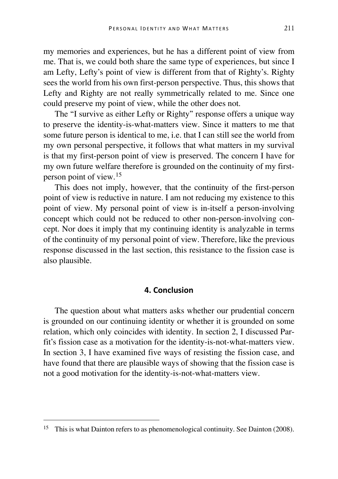my memories and experiences, but he has a different point of view from me. That is, we could both share the same type of experiences, but since I am Lefty, Lefty's point of view is different from that of Righty's. Righty sees the world from his own first-person perspective. Thus, this shows that Lefty and Righty are not really symmetrically related to me. Since one could preserve my point of view, while the other does not.

The "I survive as either Lefty or Righty" response offers a unique way to preserve the identity-is-what-matters view. Since it matters to me that some future person is identical to me, i.e. that I can still see the world from my own personal perspective, it follows that what matters in my survival is that my first-person point of view is preserved. The concern I have for my own future welfare therefore is grounded on the continuity of my firstperson point of view.[15](#page-15-0)

This does not imply, however, that the continuity of the first-person point of view is reductive in nature. I am not reducing my existence to this point of view. My personal point of view is in-itself a person-involving concept which could not be reduced to other non-person-involving concept. Nor does it imply that my continuing identity is analyzable in terms of the continuity of my personal point of view. Therefore, like the previous response discussed in the last section, this resistance to the fission case is also plausible.

#### **4. Conclusion**

The question about what matters asks whether our prudential concern is grounded on our continuing identity or whether it is grounded on some relation, which only coincides with identity. In section 2, I discussed Parfit's fission case as a motivation for the identity-is-not-what-matters view. In section 3, I have examined five ways of resisting the fission case, and have found that there are plausible ways of showing that the fission case is not a good motivation for the identity-is-not-what-matters view.

<span id="page-15-0"></span><sup>&</sup>lt;sup>15</sup> This is what Dainton refers to as phenomenological continuity. See Dainton (2008).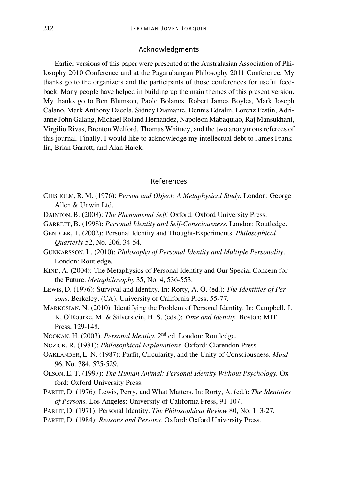#### Acknowledgments

Earlier versions of this paper were presented at the Australasian Association of Philosophy 2010 Conference and at the Pagarubangan Philosophy 2011 Conference. My thanks go to the organizers and the participants of those conferences for useful feedback. Many people have helped in building up the main themes of this present version. My thanks go to Ben Blumson, Paolo Bolanos, Robert James Boyles, Mark Joseph Calano, Mark Anthony Dacela, Sidney Diamante, Dennis Edralin, Lorenz Festin, Adrianne John Galang, Michael Roland Hernandez, Napoleon Mabaquiao, Raj Mansukhani, Virgilio Rivas, Brenton Welford, Thomas Whitney, and the two anonymous referees of this journal. Finally, I would like to acknowledge my intellectual debt to James Franklin, Brian Garrett, and Alan Hajek.

#### References

- CHISHOLM, R. M. (1976): *Person and Object: A Metaphysical Study.* London: George Allen & Unwin Ltd.
- DAINTON, B. (2008): *The Phenomenal Self.* Oxford: Oxford University Press.
- GARRETT, B. (1998): *Personal Identity and Self-Consciousness.* London: Routledge.
- GENDLER, T. (2002): Personal Identity and Thought-Experiments. *Philosophical Quarterly* 52, No. 206, 34-54.
- GUNNARSSON, L. (2010): *Philosophy of Personal Identity and Multiple Personality*. London: Routledge.
- KIND, A. (2004): The Metaphysics of Personal Identity and Our Special Concern for the Future. *Metaphilosophy* 35, No. 4, 536-553.
- LEWIS, D. (1976): Survival and Identity. In: Rorty, A. O. (ed.): *The Identities of Persons*. Berkeley, (CA): University of California Press, 55-77.
- MARKOSIAN, N. (2010): Identifying the Problem of Personal Identity. In: Campbell, J. K, O'Rourke, M. & Silverstein, H. S. (eds.): *Time and Identity.* Boston: MIT Press, 129-148.
- NOONAN, H. (2003). *Personal Identity.* 2nd ed. London: Routledge.
- NOZICK, R. (1981): *Philosophical Explanations.* Oxford: Clarendon Press.
- OAKLANDER, L. N. (1987): Parfit, Circularity, and the Unity of Consciousness. *Mind* 96, No. 384, 525-529.
- OLSON, E. T. (1997): *The Human Animal: Personal Identity Without Psychology.* Oxford: Oxford University Press.
- PARFIT, D. (1976): Lewis, Perry, and What Matters. In: Rorty, A. (ed.): *The Identities of Persons.* Los Angeles: University of California Press, 91-107.
- PARFIT, D. (1971): Personal Identity. *The Philosophical Review* 80, No. 1, 3-27.
- PARFIT, D. (1984): *Reasons and Persons.* Oxford: Oxford University Press.